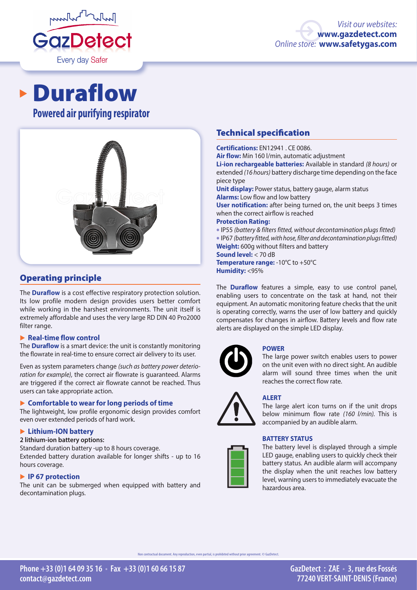

# **Powered air purifying respirator** Duraflow



# Operating principle

The **Duraflow** is a cost effective respiratory protection solution. Its low profile modern design provides users better comfort while working in the harshest environments. The unit itself is extremely affordable and uses the very large RD DIN 40 Pro2000 filter range.

#### � **Real-time flow control**

The **Duraflow** is a smart device: the unit is constantly monitoring the flowrate in real-time to ensure correct air delivery to its user.

Even as system parameters change *(such as battery power deterioration for example),* the correct air flowrate is guaranteed. Alarms are triggered if the correct air flowrate cannot be reached. Thus users can take appropriate action.

#### � **Comfortable to wear for long periods of time**

The lightweight, low profile ergonomic design provides comfort even over extended periods of hard work.

#### � **Lithium-ION battery**

#### **2 lithium-ion battery options:**

Standard duration battery -up to 8 hours coverage. Extended battery duration available for longer shifts - up to 16 hours coverage.

#### � **IP 67 protection**

The unit can be submerged when equipped with battery and decontamination plugs.

# Technical specification

**Certifications:** EN12941 . CE 0086. **Air flow:** Min 160 l/min, automatic adjustment **Li-ion rechargeable batteries:** Available in standard *(8 hours)* or extended *(16 hours)* battery discharge time depending on the face piece type **Unit display:** Power status, battery gauge, alarm status

**Alarms:** Low flow and low battery

**User notification:** after being turned on, the unit beeps 3 times when the correct airflow is reached

#### **Protection Rating:**

•IP55 *(battery & filters fitted, without decontamination plugs fitted)* •IP67 *(battery fitted, with hose, filter and decontamination plugs fitted)* **Weight:** 600g without filters and battery

**Sound level:** < 70 dB

**Temperature range:** -10°C to +50°C **Humidity:** <95%

The **Duraflow** features a simple, easy to use control panel, enabling users to concentrate on the task at hand, not their equipment. An automatic monitoring feature checks that the unit is operating correctly, warns the user of low battery and quickly compensates for changes in airflow. Battery levels and flow rate alerts are displayed on the simple LED display.



#### **POWER**

The large power switch enables users to power on the unit even with no direct sight. An audible alarm will sound three times when the unit reaches the correct flow rate.

# **ALERT**

The large alert icon turns on if the unit drops below minimum flow rate *(160 l/min).* This is accompanied by an audible alarm.

#### **BATTERY STATUS**



The battery level is displayed through a simple LED gauge, enabling users to quickly check their battery status. An audible alarm will accompany the display when the unit reaches low battery level, warning users to immediately evacuate the hazardous area.

n contractual document. Any reproduction, even partial, is prohibited without prior agreement. © GazDetect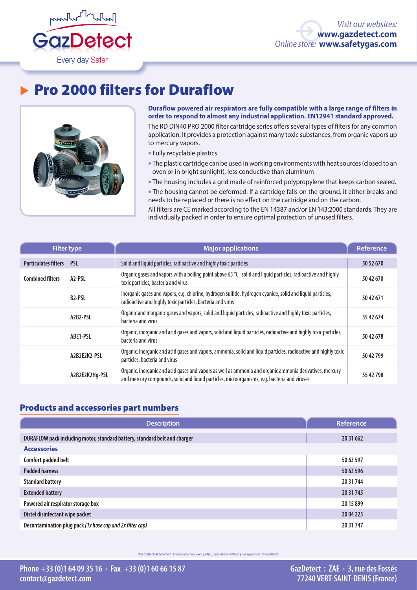

# ▶ Pro 2000 filters for Duraflow



**Duraflow powered air respirators are fully compatible with a large range of filters in order to respond to almost any industrial application. EN12941 standard approved.**

The RD DIN40 PRO 2000 filter cartridge series offers several types of filters for any common application. It provides a protection against many toxic substances, from organic vapors up to mercury vapors.

- Fully recyclable plastics
- The plastic cartridge can be used in working environments with heat sources (closed to an oven or in bright sunlight), less conductive than aluminum
- The housing includes a grid made of reinforced polypropylene that keeps carbon sealed.

• The housing cannot be deformed. If a cartridge falls on the ground, it either breaks and needs to be replaced or there is no effect on the cartridge and on the carbon.

All filters are CE marked according to the EN 14387 and/or EN 143:2000 standards. They are individually packed in order to ensure optimal protection of unused filters.

| <b>Filter type</b>          |                     | Major applications                                                                                                                                                                                       | <b>Reference</b> |
|-----------------------------|---------------------|----------------------------------------------------------------------------------------------------------------------------------------------------------------------------------------------------------|------------------|
| <b>Particulates filters</b> | <b>PSL</b>          | Solid and liquid particles, radioactive and highly toxic particles                                                                                                                                       | 50 52 670        |
| <b>Combined filters</b>     | A <sub>2</sub> -PSL | Organic gases and vapors with a boiling point above 65 $\degree$ C, solid and liquid particles, radioactive and highly<br>toxic particles, bacteria and virus                                            | 50 42 670        |
|                             | <b>B2-PSL</b>       | Inorganic gases and vapors, e.g. chlorine, hydrogen sulfide, hydrogen cyanide, solid and liquid particles,<br>radioactive and highly toxic particles, bacteria and virus                                 | 50 42 671        |
|                             | A2B2-PSL            | Organic and inorganic gases and vapors, solid and liquid particles, radioactive and highly toxic particles,<br>bacteria and virus                                                                        | 55 42 674        |
|                             | ABE1-PSL            | Organic, inorganic and acid gases and vapors, solid and liquid particles, radioactive and highly toxic particles,<br>bacteria and virus                                                                  | 50 42 678        |
|                             | A2B2E2K2-PSL        | Organic, inorganic and acid gases and vapors, ammonia, solid and liquid particles, radioactive and highly toxic<br>particles, bacteria and virus                                                         | 50 42 799        |
|                             | A2B2E2K2Hg-PSL      | Organic, inorganic and acid gases and vapors as well as ammonia and organic ammonia derivatives, mercury<br>and mercury compounds, solid and liquid particles, microorganisms, e.g. bacteria and viruses | 55 42 798        |

# Products and accessories part numbers

| <b>Description</b>                                                         | Reference |  |  |  |
|----------------------------------------------------------------------------|-----------|--|--|--|
| DURAFLOW pack including motor, standard battery, standard belt and charger | 20 31 662 |  |  |  |
| <b>Accessories</b>                                                         |           |  |  |  |
| Comfort padded belt                                                        | 50 63 597 |  |  |  |
| <b>Padded harness</b>                                                      | 50 63 596 |  |  |  |
| <b>Standard battery</b>                                                    | 20 31 744 |  |  |  |
| <b>Extended battery</b>                                                    | 20 31 745 |  |  |  |
| Powered air respirator storage box                                         | 2015899   |  |  |  |
| Distel disinfectant wipe packet                                            | 20 04 225 |  |  |  |
| Decontamination plug pack (1x hose cap and 2x filter cap)                  | 20 31 747 |  |  |  |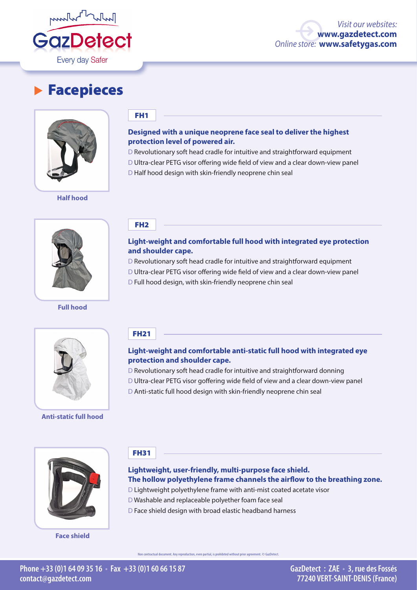

# **Facepieces**



**Half hood**



**Full hood**

### FH1

## **Designed with a unique neoprene face seal to deliver the highest protection level of powered air.**

D Revolutionary soft head cradle for intuitive and straightforward equipment

D Ultra-clear PETG visor offering wide field of view and a clear down-view panel

D Half hood design with skin-friendly neoprene chin seal

FH2

## **Light-weight and comfortable full hood with integrated eye protection and shoulder cape.**

D Revolutionary soft head cradle for intuitive and straightforward equipment

D Ultra-clear PETG visor offering wide field of view and a clear down-view panel

D Full hood design, with skin-friendly neoprene chin seal



**Anti-static full hood**

# FH21

# **Light-weight and comfortable anti-static full hood with integrated eye protection and shoulder cape.**

D Revolutionary soft head cradle for intuitive and straightforward donning

- D Ultra-clear PETG visor goffering wide field of view and a clear down-view panel
- D Anti-static full hood design with skin-friendly neoprene chin seal



**Face shield**

# FH31

# **Lightweight, user-friendly, multi-purpose face shield. The hollow polyethylene frame channels the airflow to the breathing zone.**

- D Lightweight polyethylene frame with anti-mist coated acetate visor
- D Washable and replaceable polyether foam face seal
- D Face shield design with broad elastic headband harness